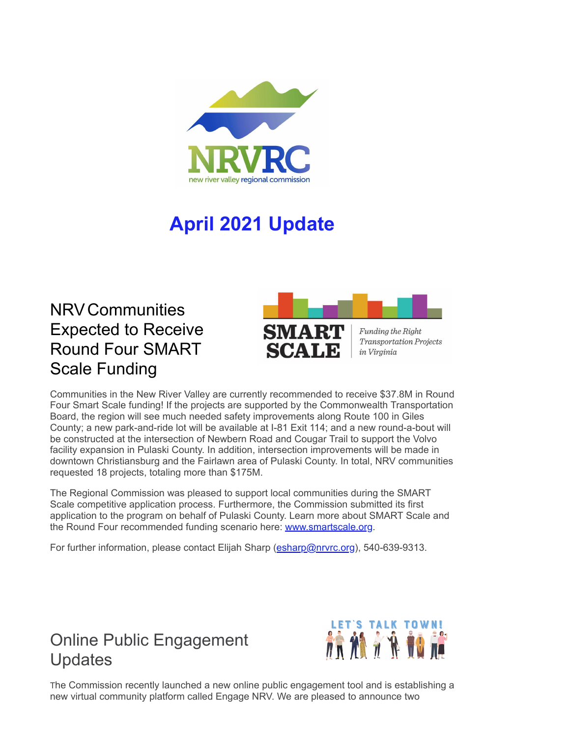

## **April 2021 Update**

## NRVCommunities Expected to Receive Round Four SMART Scale Funding



**Transportation Projects** 

Communities in the New River Valley are currently recommended to receive \$37.8M in Round Four Smart Scale funding! If the projects are supported by the Commonwealth Transportation Board, the region will see much needed safety improvements along Route 100 in Giles County; a new park-and-ride lot will be available at I-81 Exit 114; and a new round-a-bout will be constructed at the intersection of Newbern Road and Cougar Trail to support the Volvo facility expansion in Pulaski County. In addition, intersection improvements will be made in downtown Christiansburg and the Fairlawn area of Pulaski County. In total, NRV communities requested 18 projects, totaling more than \$175M.

The Regional Commission was pleased to support local communities during the SMART Scale competitive application process. Furthermore, the Commission submitted its first application to the program on behalf of Pulaski County. Learn more about SMART Scale and the Round Four recommended funding scenario here: [www.smartscale.org](http://r20.rs6.net/tn.jsp?f=001LKSeQZzCEQBU5iKTrWCFKCz4HssFC8G2NRerZ1-8h0wVqUOe-RR0LCtftobsqKmH05eo1ud7Ba1bjycaUlcmeyyaYjD9xp96WSAcRfthf8XFLoUUPcUC5BUYP4w8BcBb8ROOw1eTo1PO1rvuDnOZlA==&c=g0QtCzDiKBkS7O91_vSLj-4OutZFmmqV6lG1FnO6JRn2_QpL0cLlsA==&ch=Mqlud7ILeCpTMQWE5wpurlI5Y8hfiJsipF5bl1483iSxFQaMDbTRag==&jrc=1).

For further information, please contact Elijah Sharp ([esharp@nrvrc.org\)](mailto:esharp@nrvrc.org), 540-639-9313.

## Online Public Engagement **Updates**



The Commission recently launched a new online public engagement tool and is establishing a new virtual community platform called Engage NRV. We are pleased to announce two